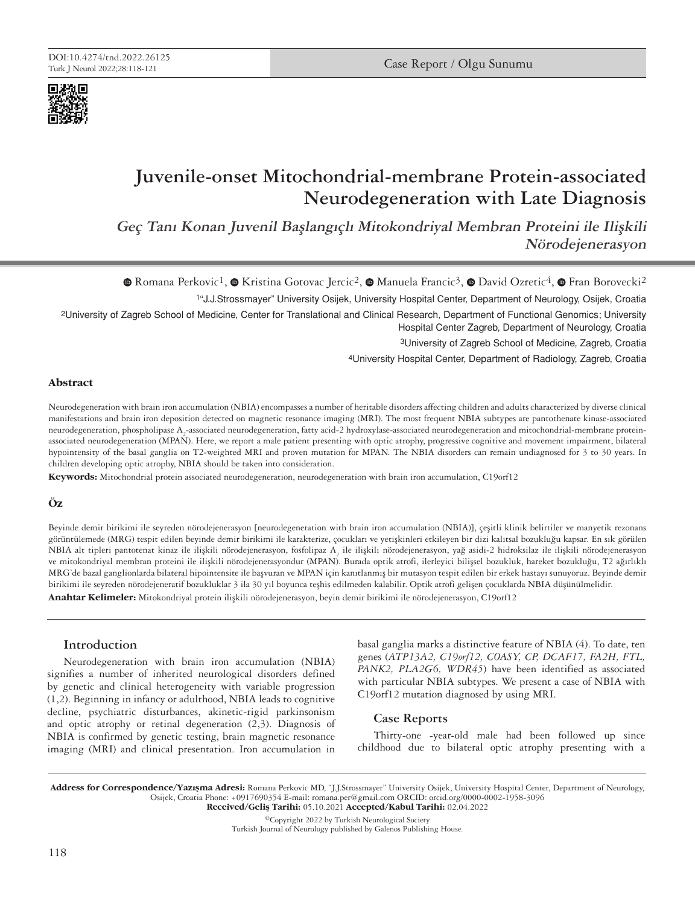

# **Juvenile-onset Mitochondrial-membrane Protein-associated Neurodegeneration with Late Diagnosis**

**Geç Tanı Konan Juvenil Başlangıçlı Mitokondriyal Membran Proteini ile Ilişkili Nörodejenerasyon**

 $\bullet$ Romana Perkovic<sup>1</sup>,  $\bullet$  Kristina Gotovac Jercic<sup>2</sup>,  $\bullet$  Manuela Francic<sup>3</sup>,  $\bullet$  David Ozretic<sup>4</sup>,  $\bullet$  Fran Borovecki<sup>2</sup>

1"J.J.Strossmayer" University Osijek, University Hospital Center, Department of Neurology, Osijek, Croatia

2University of Zagreb School of Medicine, Center for Translational and Clinical Research, Department of Functional Genomics; University Hospital Center Zagreb, Department of Neurology, Croatia

3University of Zagreb School of Medicine, Zagreb, Croatia

4University Hospital Center, Department of Radiology, Zagreb, Croatia

### **Abstract**

Neurodegeneration with brain iron accumulation (NBIA) encompasses a number of heritable disorders affecting children and adults characterized by diverse clinical manifestations and brain iron deposition detected on magnetic resonance imaging (MRI). The most frequent NBIA subtypes are pantothenate kinase-associated neurodegeneration, phospholipase A<sub>2</sub>-associated neurodegeneration, fatty acid-2 hydroxylase-associated neurodegeneration and mitochondrial-membrane proteinassociated neurodegeneration (MPAN). Here, we report a male patient presenting with optic atrophy, progressive cognitive and movement impairment, bilateral hypointensity of the basal ganglia on T2-weighted MRI and proven mutation for MPAN. The NBIA disorders can remain undiagnosed for 3 to 30 years. In children developing optic atrophy, NBIA should be taken into consideration.

**Keywords:** Mitochondrial protein associated neurodegeneration, neurodegeneration with brain iron accumulation, C19orf12

### **Öz**

Beyinde demir birikimi ile seyreden nörodejenerasyon [neurodegeneration with brain iron accumulation (NBIA)], çeşitli klinik belirtiler ve manyetik rezonans görüntülemede (MRG) tespit edilen beyinde demir birikimi ile karakterize, çocukları ve yetişkinleri etkileyen bir dizi kalıtsal bozukluğu kapsar. En sık görülen NBIA alt tipleri pantotenat kinaz ile ilişkili nörodejenerasyon, fosfolipaz A<sub>2</sub> ile ilişkili nörodejenerasyon, yağ asidi-2 hidroksilaz ile ilişkili nörodejenerasyon ve mitokondriyal membran proteini ile ilişkili nörodejenerasyondur (MPAN). Burada optik atrofi, ilerleyici bilişsel bozukluk, hareket bozukluğu, T2 ağırlıklı MRG'de bazal ganglionlarda bilateral hipointensite ile başvuran ve MPAN için kanıtlanmış bir mutasyon tespit edilen bir erkek hastayı sunuyoruz. Beyinde demir birikimi ile seyreden nörodejeneratif bozukluklar 3 ila 30 yıl boyunca teşhis edilmeden kalabilir. Optik atrofi gelişen çocuklarda NBIA düşünülmelidir.

**Anahtar Kelimeler:** Mitokondriyal protein ilişkili nörodejenerasyon, beyin demir birikimi ile nörodejenerasyon, C19orf12

## **Introduction**

Neurodegeneration with brain iron accumulation (NBIA) signifies a number of inherited neurological disorders defined by genetic and clinical heterogeneity with variable progression (1,2). Beginning in infancy or adulthood, NBIA leads to cognitive decline, psychiatric disturbances, akinetic-rigid parkinsonism and optic atrophy or retinal degeneration (2,3). Diagnosis of NBIA is confirmed by genetic testing, brain magnetic resonance imaging (MRI) and clinical presentation. Iron accumulation in basal ganglia marks a distinctive feature of NBIA (4). To date, ten genes (*ATP13A2, C19orf12, COASY, CP, DCAF17, FA2H, FTL, PANK2, PLA2G6, WDR45*) have been identified as associated with particular NBIA subtypes. We present a case of NBIA with C19orf12 mutation diagnosed by using MRI.

## **Case Reports**

Thirty-one -year-old male had been followed up since childhood due to bilateral optic atrophy presenting with a

Address for Correspondence/Yazışma Adresi: Romana Perkovic MD, "J.J.Strossmayer" University Osijek, University Hospital Center, Department of Neurology, Osijek, Croatia Phone: +0917690354 E-mail: romana.per@gmail.com ORCID: orcid.org/0000-0002-1958-3096 Received/Geliş Tarihi: 05.10.2021 Accepted/Kabul Tarihi: 02.04.2022

©Copyright 2022 by Turkish Neurological Society Turkish Journal of Neurology published by Galenos Publishing House.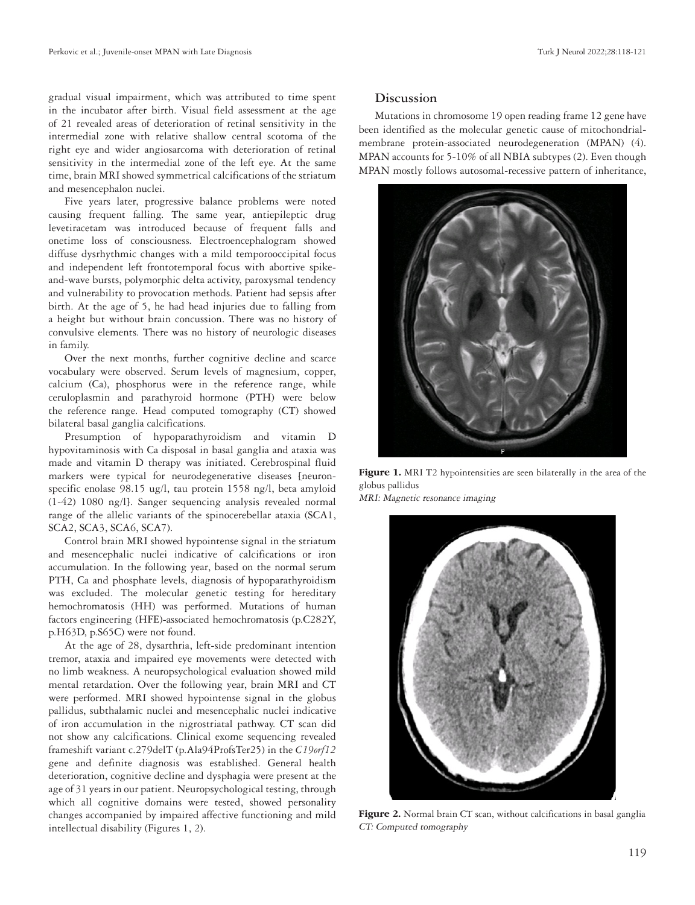gradual visual impairment, which was attributed to time spent in the incubator after birth. Visual field assessment at the age of 21 revealed areas of deterioration of retinal sensitivity in the intermedial zone with relative shallow central scotoma of the right eye and wider angiosarcoma with deterioration of retinal sensitivity in the intermedial zone of the left eye. At the same time, brain MRI showed symmetrical calcifications of the striatum and mesencephalon nuclei.

Five years later, progressive balance problems were noted causing frequent falling. The same year, antiepileptic drug levetiracetam was introduced because of frequent falls and onetime loss of consciousness. Electroencephalogram showed diffuse dysrhythmic changes with a mild temporooccipital focus and independent left frontotemporal focus with abortive spikeand-wave bursts, polymorphic delta activity, paroxysmal tendency and vulnerability to provocation methods. Patient had sepsis after birth. At the age of 5, he had head injuries due to falling from a height but without brain concussion. There was no history of convulsive elements. There was no history of neurologic diseases in family.

Over the next months, further cognitive decline and scarce vocabulary were observed. Serum levels of magnesium, copper, calcium (Ca), phosphorus were in the reference range, while ceruloplasmin and parathyroid hormone (PTH) were below the reference range. Head computed tomography (CT) showed bilateral basal ganglia calcifications.

Presumption of hypoparathyroidism and vitamin D hypovitaminosis with Ca disposal in basal ganglia and ataxia was made and vitamin D therapy was initiated. Cerebrospinal fluid markers were typical for neurodegenerative diseases [neuronspecific enolase 98.15 ug/l, tau protein 1558 ng/l, beta amyloid (1-42) 1080 ng/l]. Sanger sequencing analysis revealed normal range of the allelic variants of the spinocerebellar ataxia (SCA1, SCA2, SCA3, SCA6, SCA7).

Control brain MRI showed hypointense signal in the striatum and mesencephalic nuclei indicative of calcifications or iron accumulation. In the following year, based on the normal serum PTH, Ca and phosphate levels, diagnosis of hypoparathyroidism was excluded. The molecular genetic testing for hereditary hemochromatosis (HH) was performed. Mutations of human factors engineering (HFE)-associated hemochromatosis (p.C282Y, p.H63D, p.S65C) were not found.

At the age of 28, dysarthria, left-side predominant intention tremor, ataxia and impaired eye movements were detected with no limb weakness. A neuropsychological evaluation showed mild mental retardation. Over the following year, brain MRI and CT were performed. MRI showed hypointense signal in the globus pallidus, subthalamic nuclei and mesencephalic nuclei indicative of iron accumulation in the nigrostriatal pathway. CT scan did not show any calcifications. Clinical exome sequencing revealed frameshift variant c.279delT (p.Ala94ProfsTer25) in the *C19orf12*  gene and definite diagnosis was established. General health deterioration, cognitive decline and dysphagia were present at the age of 31 years in our patient. Neuropsychological testing, through which all cognitive domains were tested, showed personality changes accompanied by impaired affective functioning and mild intellectual disability (Figures 1, 2).

## **Discussion**

Mutations in chromosome 19 open reading frame 12 gene have been identified as the molecular genetic cause of mitochondrialmembrane protein-associated neurodegeneration (MPAN) (4). MPAN accounts for 5-10% of all NBIA subtypes (2). Even though MPAN mostly follows autosomal-recessive pattern of inheritance,



Figure 1. MRI T2 hypointensities are seen bilaterally in the area of the globus pallidus

MRI: Magnetic resonance imaging



Figure 2. Normal brain CT scan, without calcifications in basal ganglia CT: Computed tomography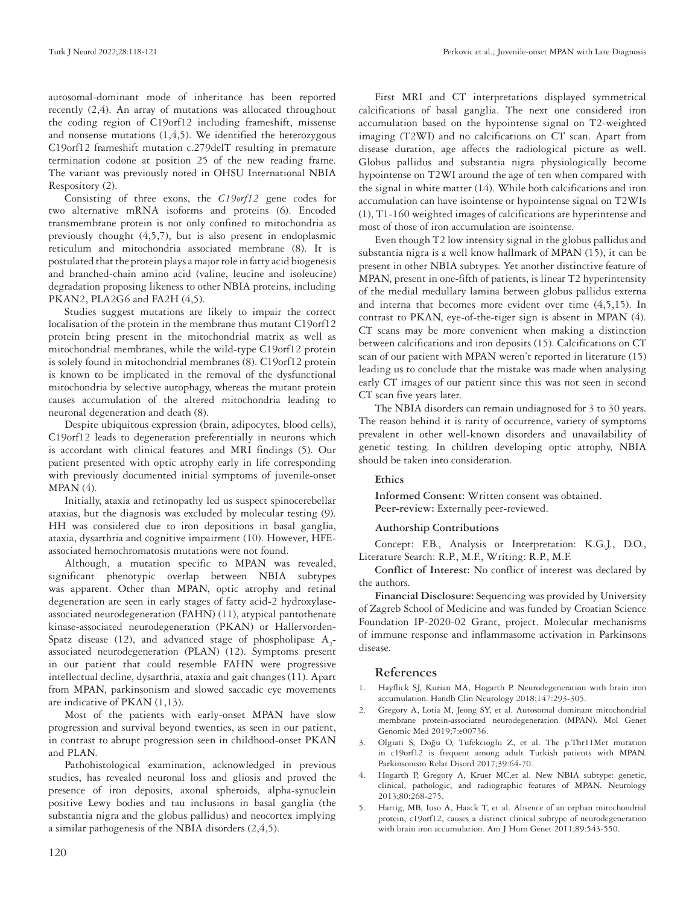autosomal-dominant mode of inheritance has been reported recently (2,4). An array of mutations was allocated throughout the coding region of C19orf12 including frameshift, missense and nonsense mutations  $(1,4,5)$ . We identified the heterozygous C19orf12 frameshift mutation c.279delT resulting in premature termination codone at position 25 of the new reading frame. The variant was previously noted in OHSU International NBIA Respository (2).

Consisting of three exons, the *C19orf12* gene codes for two alternative mRNA isoforms and proteins (6). Encoded transmembrane protein is not only confined to mitochondria as previously thought (4,5,7), but is also present in endoplasmic reticulum and mitochondria associated membrane (8). It is postulated that the protein plays a major role in fatty acid biogenesis and branched-chain amino acid (valine, leucine and isoleucine) degradation proposing likeness to other NBIA proteins, including PKAN2, PLA2G6 and FA2H (4,5).

Studies suggest mutations are likely to impair the correct localisation of the protein in the membrane thus mutant C19orf12 protein being present in the mitochondrial matrix as well as mitochondrial membranes, while the wild-type C19orf12 protein is solely found in mitochondrial membranes (8). C19orf12 protein is known to be implicated in the removal of the dysfunctional mitochondria by selective autophagy, whereas the mutant protein causes accumulation of the altered mitochondria leading to neuronal degeneration and death (8).

Despite ubiquitous expression (brain, adipocytes, blood cells), C19orf12 leads to degeneration preferentially in neurons which is accordant with clinical features and MRI findings (5). Our patient presented with optic atrophy early in life corresponding with previously documented initial symptoms of juvenile-onset  $MPAN(4)$ .

Initially, ataxia and retinopathy led us suspect spinocerebellar ataxias, but the diagnosis was excluded by molecular testing (9). HH was considered due to iron depositions in basal ganglia, ataxia, dysarthria and cognitive impairment (10). However, HFEassociated hemochromatosis mutations were not found.

Although, a mutation specific to MPAN was revealed, significant phenotypic overlap between NBIA subtypes was apparent. Other than MPAN, optic atrophy and retinal degeneration are seen in early stages of fatty acid-2 hydroxylaseassociated neurodegeneration (FAHN) (11), atypical pantothenate kinase-associated neurodegeneration (PKAN) or Hallervorden-Spatz disease (12), and advanced stage of phospholipase  $A_2$ associated neurodegeneration (PLAN) (12). Symptoms present in our patient that could resemble FAHN were progressive intellectual decline, dysarthria, ataxia and gait changes (11). Apart from MPAN, parkinsonism and slowed saccadic eye movements are indicative of PKAN (1,13).

Most of the patients with early-onset MPAN have slow progression and survival beyond twenties, as seen in our patient, in contrast to abrupt progression seen in childhood-onset PKAN and PLAN.

Pathohistological examination, acknowledged in previous studies, has revealed neuronal loss and gliosis and proved the presence of iron deposits, axonal spheroids, alpha-synuclein positive Lewy bodies and tau inclusions in basal ganglia (the substantia nigra and the globus pallidus) and neocortex implying a similar pathogenesis of the NBIA disorders (2,4,5).

First MRI and CT interpretations displayed symmetrical calcifications of basal ganglia. The next one considered iron accumulation based on the hypointense signal on T2-weighted imaging (T2WI) and no calcifications on CT scan. Apart from disease duration, age affects the radiological picture as well. Globus pallidus and substantia nigra physiologically become hypointense on T2WI around the age of ten when compared with the signal in white matter (14). While both calcifications and iron accumulation can have isointense or hypointense signal on T2WIs (1), T1-160 weighted images of calcifications are hyperintense and most of those of iron accumulation are isointense.

Even though T2 low intensity signal in the globus pallidus and substantia nigra is a well know hallmark of MPAN (15), it can be present in other NBIA subtypes. Yet another distinctive feature of MPAN, present in one-fifth of patients, is linear T2 hyperintensity of the medial medullary lamina between globus pallidus externa and interna that becomes more evident over time (4,5,15). In contrast to PKAN, eye-of-the-tiger sign is absent in MPAN (4). CT scans may be more convenient when making a distinction between calcifications and iron deposits (15). Calcifications on CT scan of our patient with MPAN weren't reported in literature (15) leading us to conclude that the mistake was made when analysing early CT images of our patient since this was not seen in second CT scan five years later.

The NBIA disorders can remain undiagnosed for 3 to 30 years. The reason behind it is rarity of occurrence, variety of symptoms prevalent in other well-known disorders and unavailability of genetic testing. In children developing optic atrophy, NBIA should be taken into consideration.

# **Ethics**

**Informed Consent:** Written consent was obtained. **Peer-review:** Externally peer-reviewed.

#### **Authorship Contributions**

Concept: F.B., Analysis or Interpretation: K.G.J., D.O., Literature Search: R.P., M.F., Writing: R.P., M.F.

**Conflict of Interest:** No conflict of interest was declared by the authors.

**Financial Disclosure:** Sequencing was provided by University of Zagreb School of Medicine and was funded by Croatian Science Foundation IP-2020-02 Grant, project. Molecular mechanisms of immune response and inflammasome activation in Parkinsons disease.

## **References**

- 1. Hayflick SJ, Kurian MA, Hogarth P. Neurodegeneration with brain iron accumulation. Handb Clin Neurology 2018;147:293-305.
- 2. Gregory A, Lotia M, Jeong SY, et al. Autosomal dominant mitochondrial membrane protein-associated neurodegeneration (MPAN). Mol Genet Genomic Med 2019;7:e00736.
- 3. Olgiati S, Doğu O, Tufekcioglu Z, et al. The p.Thr11Met mutation in c19orf12 is frequent among adult Turkish patients with MPAN. Parkinsonism Relat Disord 2017;39:64-70.
- 4. Hogarth P, Gregory A, Kruer MC,et al. New NBIA subtype: genetic, clinical, pathologic, and radiographic features of MPAN. Neurology 2013;80:268-275.
- 5. Hartig, MB, Iuso A, Haack T, et al. Absence of an orphan mitochondrial protein, c19orf12, causes a distinct clinical subtype of neurodegeneration with brain iron accumulation. Am J Hum Genet 2011;89:543-550.